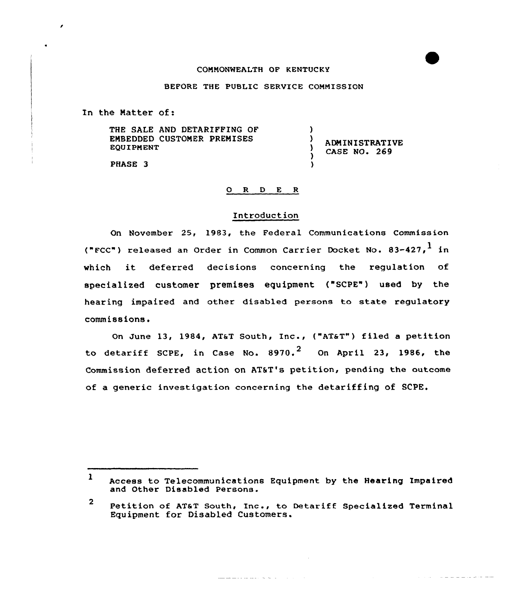#### COMMONWEALTH OF KENTUCKY

#### BEFORE THE PUBLIC SERVICE COMMISSION

In the Matter of:

THE SALE AND DETARIFFING OF EMBEDDED CUSTOMER PREMISES EQUIPMENT

ADMINISTRATIVE CASE NO. 269

سلما ساما سأساس سأسام الأرداد والأرداد

)<br>)

)

 $\lambda$ Y

PHASE 3

## 0 R <sup>D</sup> E <sup>R</sup>

# Introduction

On November 25, 1983, the Federal Communications Commission ("FCC") released an Order in Common Carrier Docket No. 83-427, in which it deferred decisions concerning the regulation of specialized customer premises equipment ("SCPE") used by the hearing impaired and other disabled persons to state regulatory commissions.

On June 13, 1984, AT&T South, Inc., ("AT&T") filed a petition to detariff SCPE, in Case No.  $8970.^2$  On April 23, 1986, the Commission deferred action on ATST's petition, pending the outcome of a generic investigation concerning the detariffing of SCPE.

<sup>1</sup> Access to Telecommunications Equipment by the Hearing Impaired and Other Disabled Persons.

والمتماز والمتحال والمستقطعة

<sup>2</sup> Petition of ATaT South, Inc., to Detariff Specialized Terminal Equipment for Disabled Customers.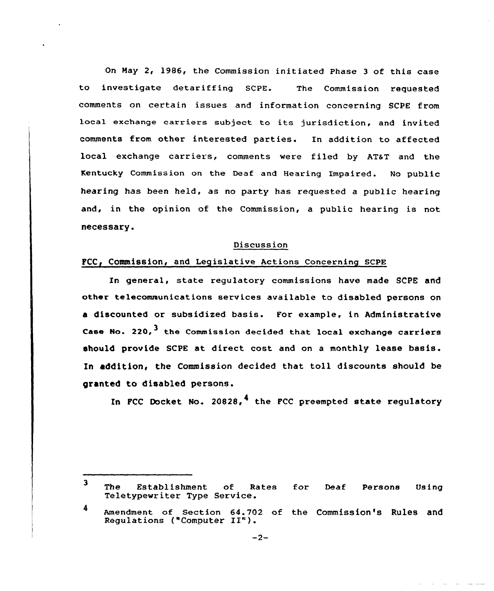On Hay 2, 1986, the Commission initiated Phase <sup>3</sup> of this case to investigate detariffing SCPE. The Commission requested comments on certain issues and information concerning SCPE from local exchange carriers subject to its jurisdiction, and invited comments from other interested parties. In addition to affected local exchange carriers, comments were filed by AT&T and the Kentucky Commission on the Deaf and Hearing Impaired. No public hearing has been held, as no party has requested a public hearing and, in the opinion of the Commission, a public hearing is not necessary.

#### Discussion

# FCC, Commission, and Legislative Actions Concerning SCPE

In general, state regulatory commissions have made SCPE and other telecommunications services available to disabled persons on a discounted or subsidized basis. For example, in Administrative Case No. 220.<sup>3</sup> the Commission decided that local exchange carriers should provide SCPE at direct cost and on <sup>a</sup> monthly lease basis. In addition, the Commission decided that toll discounts should be granted to disabled persons.

In PCC Docket No. 20828,<sup>4</sup> the PCC preempted state regulatory

 $\overline{\mathbf{3}}$ The Establishment of Rates The Establishment of Rates for Deaf Persons Using<br>Teletypewriter=Type=Service.

<sup>4</sup> Amendment of section 64.702 of the Commission's Rules and Requlations ("Computer II").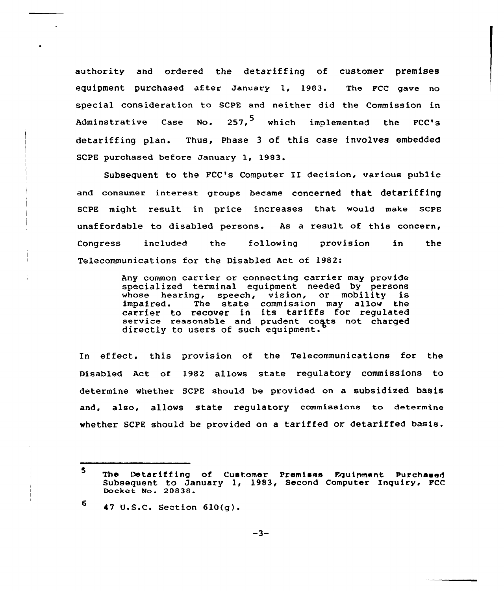authority and ordered the detariffing of customer premises equipment purchased after January 1, 1983. The FCC gave no special consideration to SCPE and neither did the Commission in Adminstrative Case No. 257, which implemented the FCC's detariffing plan. Thus, Phase <sup>3</sup> of this case involves embedded SCPE purchased before January 1, 1983.

Subsequent to the FCC's Computer II decision, various public and consumer interest groups became concerned that detariffing scPE might result in price increases that would make scPE unaffordable to disabled persons. As a result of this concern, Congress included the following provision in the Telecommunications for the Disabled Act of 1982:

> Any common carrier or connecting carrier may provide specialized terminal equipment needed by persons whose hearing, speech, vision, or mobility is<br>impaired. The state commission may allow the The state commission may allow the carrier to recover in its tariffs for regulated service reasonable and prudent costs not charged directly to users of such equipment.

ln effect, this provision of the Telecommunications for the Disabled Act of 1982 allows state regulatory commissions to determine whether SCPE should be provided on a subsidized basis and, also, allows state regulatory commissions to determine whether SCPE should be provided on a tariffed or detariffed basis.

6 47 U.S.C. Section 610(g).

<sup>5</sup> The Detariffing of Customer Premises Equipment Purchased Subsequent to January 1, 1983, Second Computer Inquiry, FCC Docket No. 20838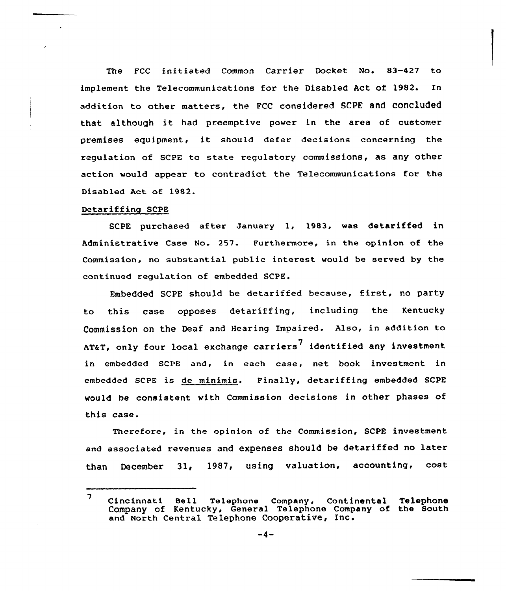The FCC initiated Common Carrier Docket No. 83-427 to implement the Telecommunications for the Disabled Act of 1982. In addition to other matters, the FCC considered SCPE and COncluded that although it had preemptive power in the area of customer premises equipment, it should defer decisions concerning the regulation of SCPE to state regulatory commissions, as any other action would appear to contradict the Telecommunications for the Disabled Act of 1982.

## Detariffing SCPE

SCPE purchased after January 1, 1983, was detariffed in Administrative Case No. 257. Furthermore, in the opinion of the Commission, no substantial public interest would be served by the continued regulation of embedded SCPE.

Embedded SCPE should be detariffed because, first, no party to this case opposes detariffing, including the Kentucky Commission on the Deaf and Hearing Impaired. Also, in addition to ATAT, only four local exchange carriers<sup>7</sup> identified any investment in embedded SCPE and, in each case, net book investment in embedded SCPE is de minimis. Finally, detariffing embedded SCPE would be consistent with Commission decisions in other phases of this case.

Therefore, in the opinion of the Commission, SCPE investment and associated revenues and expenses should be detariffed no later than December 31, 1987, using valuation, accounting, cost

 $7$  Cincinnati Bell Telephone Company, Continental Telephon Company of Kentucky, General Telephone Company of the south and North Central Telephone Cooperative, Inc.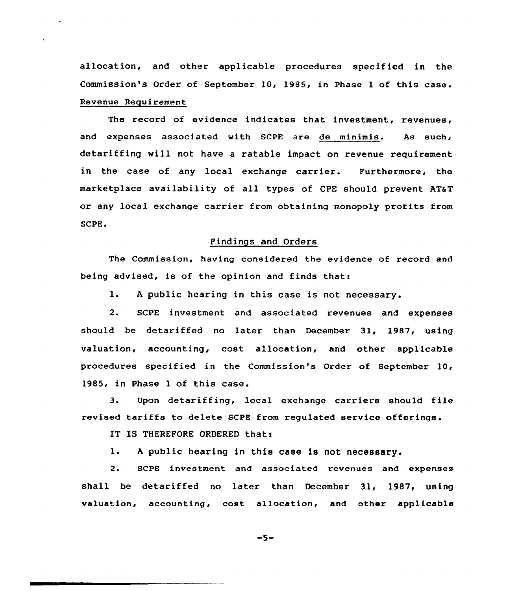allocation, and other applicable procedures specified in the Commission's Order of September 10, 1985, in Phase <sup>1</sup> of this case. Revenue Requirement

The record of evidence indicates that investment, revenues, and expenses associated with SCPE are de minimis. As such, detariffing will not have a ratable impact on revenue requirement in the case of any local exchange carrier. Furthermore, the marketplace availability of all types of CPE should prevent AT&T or any local exchange carrier from obtaining monopoly profits from  $SCPE.$ 

# Findings and Orders

The Commission, having considered the evidence of record and being advised, is of the opinion and finds that:

1. <sup>A</sup> public hearing in this case is not necessary.

2. SCPE investment and associated revenues and expenses should be detariffed no later than December 31, 1987, using valuation, accounting, cost allocation, and other applicable procedures specified in the Commission's Order of September 10, 1985, in Phase <sup>1</sup> of this case.

3. Upon detariffing, local exchange carriers should file revised tariffs to delete SCPE from regulated service offerings.

IT IS THEREFORE ORDERED that:

1. <sup>h</sup> public hearing in this case is not necessary.

2. SCPE investment and associated revenues and expenses shall be detariffed no later than December 31, 1987, using valuation, accounting, cost allocation, and other applicable

-5-